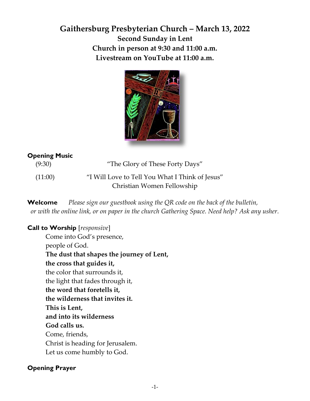# **Gaithersburg Presbyterian Church – March 13, 2022 Second Sunday in Lent Church in person at 9:30 and 11:00 a.m. Livestream on YouTube at 11:00 a.m.**



# **Opening Music**

 (9:30) "The Glory of These Forty Days" (11:00) "I Will Love to Tell You What I Think of Jesus" Christian Women Fellowship

**Welcome** *Please sign our guestbook using the QR code on the back of the bulletin, or with the online link, or on paper in the church Gathering Space. Need help? Ask any usher.*

# **Call to Worship** [*responsive*]

Come into God's presence, people of God. **The dust that shapes the journey of Lent, the cross that guides it,**  the color that surrounds it, the light that fades through it, **the word that foretells it, the wilderness that invites it. This is Lent, and into its wilderness God calls us.**  Come, friends, Christ is heading for Jerusalem. Let us come humbly to God.

# **Opening Prayer**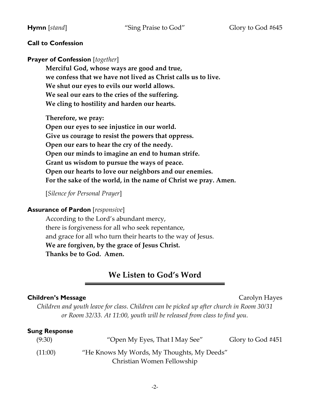# **Call to Confession**

# **Prayer of Confession** [*together*]

**Merciful God, whose ways are good and true, we confess that we have not lived as Christ calls us to live. We shut our eyes to evils our world allows. We seal our ears to the cries of the suffering. We cling to hostility and harden our hearts.** 

**Therefore, we pray: Open our eyes to see injustice in our world. Give us courage to resist the powers that oppress. Open our ears to hear the cry of the needy. Open our minds to imagine an end to human strife. Grant us wisdom to pursue the ways of peace. Open our hearts to love our neighbors and our enemies. For the sake of the world, in the name of Christ we pray. Amen.** 

[*Silence for Personal Prayer*]

### **Assurance of Pardon** [*responsive*]

According to the Lord's abundant mercy, there is forgiveness for all who seek repentance, and grace for all who turn their hearts to the way of Jesus. **We are forgiven, by the grace of Jesus Christ. Thanks be to God. Amen.** 

# **We Listen to God's Word**

#### **Children's Message Carolyn Hayes Carolyn Hayes**

*Children and youth leave for class. Children can be picked up after church in Room 30/31 or Room 32/33. At 11:00, youth will be released from class to find you.* 

#### **Sung Response**

| (9:30)  | "Open My Eyes, That I May See"             | Glory to God #451 |
|---------|--------------------------------------------|-------------------|
| (11:00) | "He Knows My Words, My Thoughts, My Deeds" |                   |
|         | Christian Women Fellowship                 |                   |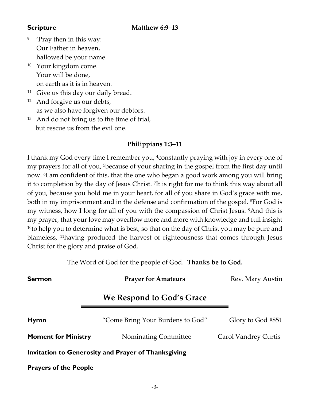- 9 'Pray then in this way: Our Father in heaven, hallowed be your name.
- <sup>10</sup> Your kingdom come. Your will be done, on earth as it is in heaven.
- $11$  Give us this day our daily bread.
- $12$  And forgive us our debts, as we also have forgiven our debtors.
- <sup>13</sup> And do not bring us to the time of trial, but rescue us from the evil one.

# **Philippians 1:3–11**

I thank my God every time I remember you, 4constantly praying with joy in every one of my prayers for all of you, 5because of your sharing in the gospel from the first day until now. <sup>6</sup> I am confident of this, that the one who began a good work among you will bring it to completion by the day of Jesus Christ. <sup>7</sup> It is right for me to think this way about all of you, because you hold me in your heart, for all of you share in God's grace with me, both in my imprisonment and in the defense and confirmation of the gospel. <sup>8</sup>For God is my witness, how I long for all of you with the compassion of Christ Jesus. <sup>9</sup>And this is my prayer, that your love may overflow more and more with knowledge and full insight  $10$ to help you to determine what is best, so that on the day of Christ you may be pure and blameless, 11having produced the harvest of righteousness that comes through Jesus Christ for the glory and praise of God.

The Word of God for the people of God. **Thanks be to God.**

**Sermon Prayer for Amateurs** Rev. Mary Austin **We Respond to God's Grace Hymn** "Come Bring Your Burdens to God" Glory to God #851 **Moment for Ministry** Nominating Committee Carol Vandrey Curtis **Invitation to Generosity and Prayer of Thanksgiving Prayers of the People**